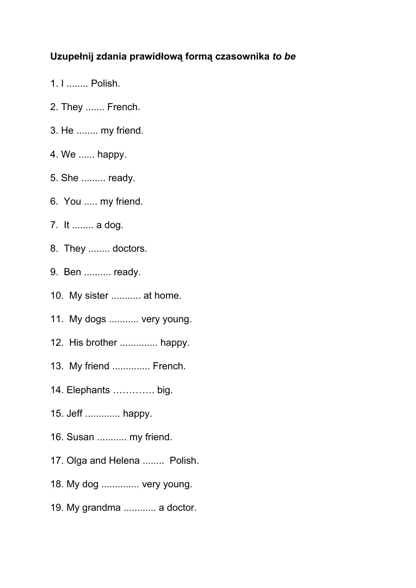## **Uzupełnij zdania prawidłową formą czasownika** *to be*

- 1. I ........ Polish.
- 2. They ....... French.
- 3. He ........ my friend.
- 4. We ...... happy.
- 5. She ......... ready.
- 6. You ..... my friend.
- 7. It ........ a dog.
- 8. They ........ doctors.
- 9. Ben .......... ready.
- 10. My sister ........... at home.
- 11. My dogs ........... very young.
- 12. His brother .............. happy.
- 13. My friend .............. French.
- 14. Elephants …………. big.
- 15. Jeff ............. happy.
- 16. Susan ........... my friend.
- 17. Olga and Helena ........ Polish.
- 18. My dog .............. very young.
- 19. My grandma ............ a doctor.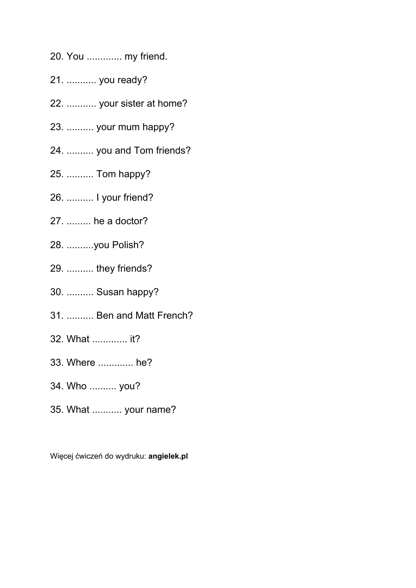- 20. You ............. my friend.
- 21. ........... you ready?
- 22. ........... your sister at home?
- 23. .......... your mum happy?
- 24. .......... you and Tom friends?
- 25. .......... Tom happy?
- 26. .......... I your friend?
- 27. ......... he a doctor?
- 28. ..........you Polish?
- 29. .......... they friends?
- 30. .......... Susan happy?
- 31. .......... Ben and Matt French?
- 32. What ............. it?
- 33. Where ............. he?
- 34. Who .......... you?
- 35. What ........... your name?

Więcej ćwiczeń do wydruku: **angielek.pl**